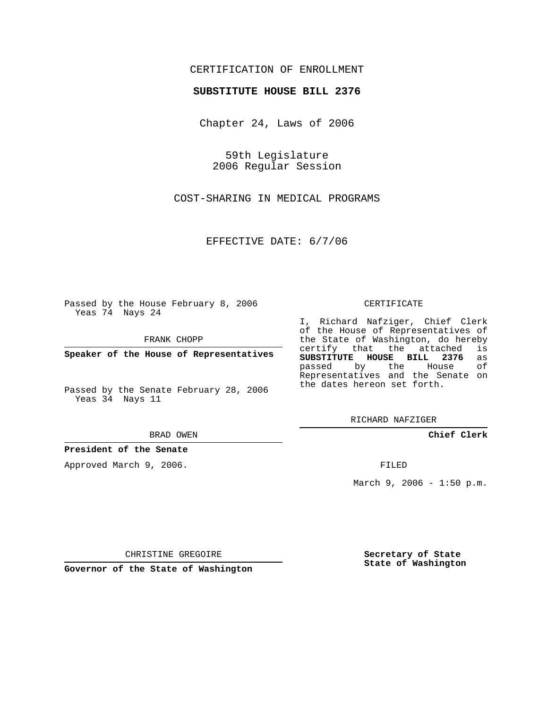## CERTIFICATION OF ENROLLMENT

### **SUBSTITUTE HOUSE BILL 2376**

Chapter 24, Laws of 2006

59th Legislature 2006 Regular Session

COST-SHARING IN MEDICAL PROGRAMS

EFFECTIVE DATE: 6/7/06

Passed by the House February 8, 2006 Yeas 74 Nays 24

FRANK CHOPP

**Speaker of the House of Representatives**

Passed by the Senate February 28, 2006 Yeas 34 Nays 11

BRAD OWEN

**President of the Senate**

Approved March 9, 2006.

#### CERTIFICATE

I, Richard Nafziger, Chief Clerk of the House of Representatives of the State of Washington, do hereby<br>certify that the attached is certify that the attached **SUBSTITUTE HOUSE BILL 2376** as passed by the House of Representatives and the Senate on the dates hereon set forth.

RICHARD NAFZIGER

**Chief Clerk**

FILED

March  $9, 2006 - 1:50 p.m.$ 

CHRISTINE GREGOIRE

**Governor of the State of Washington**

**Secretary of State State of Washington**